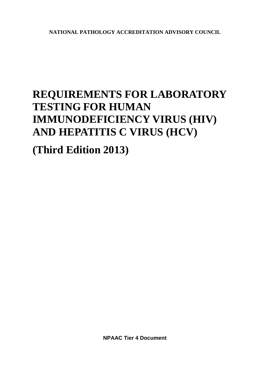# **REQUIREMENTS FOR LABORATORY TESTING FOR HUMAN IMMUNODEFICIENCY VIRUS (HIV) AND HEPATITIS C VIRUS (HCV)**

**(Third Edition 2013)**

<span id="page-0-0"></span>**NPAAC Tier 4 Document**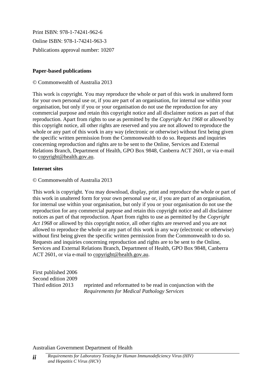Print ISBN: 978-1-74241-962-6 Online ISBN: 978-1-74241-963-3 Publications approval number: 10207

#### **Paper-based publications**

© Commonwealth of Australia 2013

This work is copyright. You may reproduce the whole or part of this work in unaltered form for your own personal use or, if you are part of an organisation, for internal use within your organisation, but only if you or your organisation do not use the reproduction for any commercial purpose and retain this copyright notice and all disclaimer notices as part of that reproduction. Apart from rights to use as permitted by the *Copyright Act 1968* or allowed by this copyright notice*,* all other rights are reserved and you are not allowed to reproduce the whole or any part of this work in any way (electronic or otherwise) without first being given the specific written permission from the Commonwealth to do so. Requests and inquiries concerning reproduction and rights are to be sent to the Online, Services and External Relations Branch, Department of Health, GPO Box 9848, Canberra ACT 2601, or via e-mail to copyright@health.gov.au.

#### **Internet sites**

© Commonwealth of Australia 2013

This work is copyright. You may download, display, print and reproduce the whole or part of this work in unaltered form for your own personal use or, if you are part of an organisation, for internal use within your organisation, but only if you or your organisation do not use the reproduction for any commercial purpose and retain this copyright notice and all disclaimer notices as part of that reproduction. Apart from rights to use as permitted by the *Copyright Act 1968* or allowed by this copyright notice*,* all other rights are reserved and you are not allowed to reproduce the whole or any part of this work in any way (electronic or otherwise) without first being given the specific written permission from the Commonwealth to do so. Requests and inquiries concerning reproduction and rights are to be sent to the Online, Services and External Relations Branch, Department of Health, GPO Box 9848, Canberra ACT 2601, or via e-mail to copyright@health.gov.au.

First published 2006 Second edition 2009

Third edition 2013 reprinted and reformatted to be read in conjunction with the *Requirements for Medical Pathology Services*

#### Australian Government Department of Health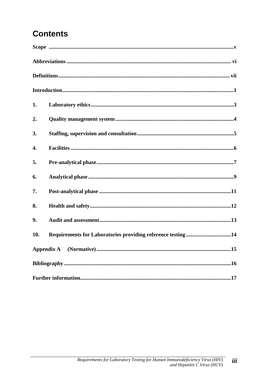# **Contents**

| 1.                                                                  |
|---------------------------------------------------------------------|
| 2.                                                                  |
| 3.                                                                  |
| $\overline{4}$ .                                                    |
| 5.                                                                  |
| 6.                                                                  |
| 7.                                                                  |
| 8.                                                                  |
| 9.                                                                  |
| Requirements for Laboratories providing reference testing 14<br>10. |
| <b>Appendix A</b>                                                   |
|                                                                     |
|                                                                     |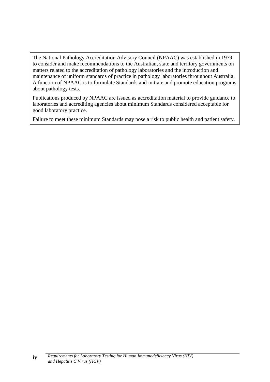The National Pathology Accreditation Advisory Council (NPAAC) was established in 1979 to consider and make recommendations to the Australian, state and territory governments on matters related to the accreditation of pathology laboratories and the introduction and maintenance of uniform standards of practice in pathology laboratories throughout Australia. A function of NPAAC is to formulate Standards and initiate and promote education programs about pathology tests.

Publications produced by NPAAC are issued as accreditation material to provide guidance to laboratories and accrediting agencies about minimum Standards considered acceptable for good laboratory practice.

Failure to meet these minimum Standards may pose a risk to public health and patient safety.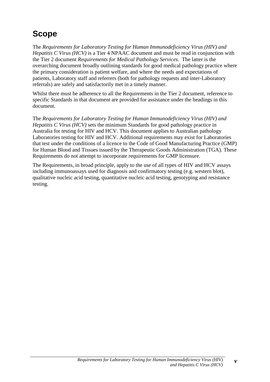# <span id="page-4-0"></span>**Scope**

The *Requirements for Laboratory Testing for Human Immunodeficiency Virus (HIV) and Hepatitis C Virus (HCV)* is a Tier 4 NPAAC document and must be read in conjunction with the Tier 2 document *Requirements for Medical Pathology Services.* The latter is the overarching document broadly outlining standards for good medical pathology practice where the primary consideration is patient welfare, and where the needs and expectations of patients, Laboratory staff and referrers (both for pathology requests and inter-Laboratory referrals) are safely and satisfactorily met in a timely manner.

Whilst there must be adherence to all the Requirements in the Tier 2 document, reference to specific Standards in that document are provided for assistance under the headings in this document.

The *Requirements for Laboratory Testing for Human Immunodeficiency Virus (HIV) and Hepatitis C Virus (HCV)* sets the minimum Standards for good pathology practice in Australia for testing for HIV and HCV. This document applies to Australian pathology Laboratories testing for HIV and HCV. Additional requirements may exist for Laboratories that test under the conditions of a licence to the Code of Good Manufacturing Practice (GMP) for Human Blood and Tissues issued by the Therapeutic Goods Administration (TGA). These Requirements do not attempt to incorporate requirements for GMP licensure.

The Requirements, in broad principle, apply to the use of all types of HIV and HCV assays including immunoassays used for diagnosis and confirmatory testing (e.g. western blot), qualitative nucleic acid testing, quantitative nucleic acid testing, genotyping and resistance testing.

*v*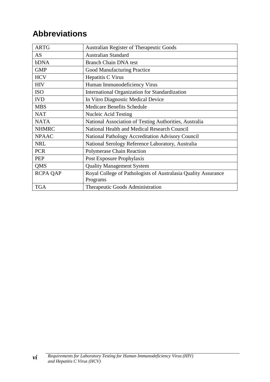### <span id="page-5-0"></span>**Abbreviations**

| <b>ARTG</b>     | Australian Register of Therapeutic Goods                       |
|-----------------|----------------------------------------------------------------|
| <b>AS</b>       | <b>Australian Standard</b>                                     |
| bDNA            | <b>Branch Chain DNA test</b>                                   |
| <b>GMP</b>      | Good Manufacturing Practice                                    |
| <b>HCV</b>      | Hepatitis C Virus                                              |
| <b>HIV</b>      | Human Immunodeficiency Virus                                   |
| <b>ISO</b>      | International Organization for Standardization                 |
| <b>IVD</b>      | In Vitro Diagnostic Medical Device                             |
| <b>MBS</b>      | <b>Medicare Benefits Schedule</b>                              |
| <b>NAT</b>      | <b>Nucleic Acid Testing</b>                                    |
| <b>NATA</b>     | National Association of Testing Authorities, Australia         |
| <b>NHMRC</b>    | National Health and Medical Research Council                   |
| <b>NPAAC</b>    | National Pathology Accreditation Advisory Council              |
| <b>NRL</b>      | National Serology Reference Laboratory, Australia              |
| <b>PCR</b>      | Polymerase Chain Reaction                                      |
| <b>PEP</b>      | Post Exposure Prophylaxis                                      |
| <b>QMS</b>      | <b>Quality Management System</b>                               |
| <b>RCPA QAP</b> | Royal College of Pathologists of Australasia Quality Assurance |
|                 | Programs                                                       |
| <b>TGA</b>      | Therapeutic Goods Administration                               |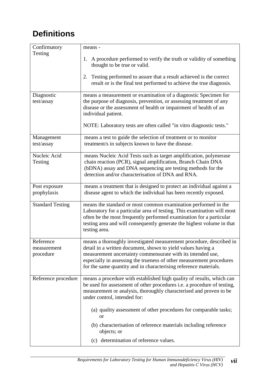# <span id="page-6-0"></span>**Definitions**

| Confirmatory                 | means -                                                                                                                                                                                                                                                                                                     |
|------------------------------|-------------------------------------------------------------------------------------------------------------------------------------------------------------------------------------------------------------------------------------------------------------------------------------------------------------|
| Testing                      |                                                                                                                                                                                                                                                                                                             |
|                              | A procedure performed to verify the truth or validity of something<br>1.<br>thought to be true or valid.                                                                                                                                                                                                    |
|                              | 2. Testing performed to assure that a result achieved is the correct<br>result or is the final test performed to achieve the true diagnosis.                                                                                                                                                                |
| Diagnostic<br>test/assay     | means a measurement or examination of a diagnostic Specimen for<br>the purpose of diagnosis, prevention, or assessing treatment of any<br>disease or the assessment of health or impairment of health of an<br>individual patient.                                                                          |
|                              | NOTE: Laboratory tests are often called "in vitro diagnostic tests."                                                                                                                                                                                                                                        |
| Management<br>test/assay     | means a test to guide the selection of treatment or to monitor<br>treatment/s in subjects known to have the disease.                                                                                                                                                                                        |
| Nucleic Acid<br>Testing      | means Nucleic Acid Tests such as target amplification, polymerase<br>chain reaction (PCR), signal amplification, Branch Chain DNA<br>(bDNA) assay and DNA sequencing are testing methods for the<br>detection and/or characterisation of DNA and RNA.                                                       |
| Post exposure<br>prophylaxis | means a treatment that is designed to protect an individual against a<br>disease agent to which the individual has been recently exposed.                                                                                                                                                                   |
| <b>Standard Testing</b>      | means the standard or most common examination performed in the<br>Laboratory for a particular area of testing. This examination will most<br>often be the most frequently performed examination for a particular<br>testing area and will consequently generate the highest volume in that<br>testing area. |
| Reference                    | means a thoroughly investigated measurement procedure, described in<br>detail in a written document, shown to yield values having a                                                                                                                                                                         |
| measurement<br>procedure     | measurement uncertainty commensurate with its intended use,<br>especially in assessing the trueness of other measurement procedures<br>for the same quantity and in characterising reference materials.                                                                                                     |
| Reference procedure          | means a procedure with established high quality of results, which can<br>be used for assessment of other procedures i.e. a procedure of testing,<br>measurement or analysis, thoroughly characterised and proven to be<br>under control, intended for:                                                      |
|                              | (a) quality assessment of other procedures for comparable tasks;<br><b>or</b>                                                                                                                                                                                                                               |
|                              | (b) characterisation of reference materials including reference<br>objects; or                                                                                                                                                                                                                              |
|                              | (c) determination of reference values.                                                                                                                                                                                                                                                                      |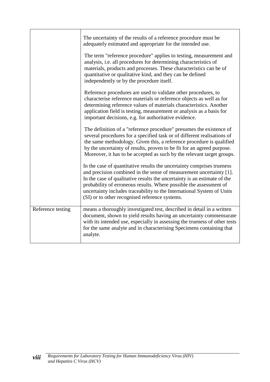|                   | The uncertainty of the results of a reference procedure must be<br>adequately estimated and appropriate for the intended use.<br>The term "reference procedure" applies to testing, measurement and                                                                                                                                                                                                                         |
|-------------------|-----------------------------------------------------------------------------------------------------------------------------------------------------------------------------------------------------------------------------------------------------------------------------------------------------------------------------------------------------------------------------------------------------------------------------|
|                   | analysis, i.e. all procedures for determining characteristics of<br>materials, products and processes. These characteristics can be of<br>quantitative or qualitative kind, and they can be defined<br>independently or by the procedure itself.                                                                                                                                                                            |
|                   | Reference procedures are used to validate other procedures, to<br>characterise reference materials or reference objects as well as for<br>determining reference values of materials characteristics. Another<br>application field is testing, measurement or analysis as a basis for<br>important decisions, e.g. for authoritative evidence.                                                                               |
|                   | The definition of a "reference procedure" presumes the existence of<br>several procedures for a specified task or of different realisations of<br>the same methodology. Given this, a reference procedure is qualified<br>by the uncertainty of results, proven to be fit for an agreed purpose.<br>Moreover, it has to be accepted as such by the relevant target groups.                                                  |
|                   | In the case of quantitative results the uncertainty comprises trueness<br>and precision combined in the sense of measurement uncertainty [1].<br>In the case of qualitative results the uncertainty is an estimate of the<br>probability of erroneous results. Where possible the assessment of<br>uncertainty includes traceability to the International System of Units<br>(SI) or to other recognised reference systems. |
| Reference testing | means a thoroughly investigated test, described in detail in a written<br>document, shown to yield results having an uncertainty commensurate<br>with its intended use, especially in assessing the trueness of other tests<br>for the same analyte and in characterising Specimens containing that<br>analyte.                                                                                                             |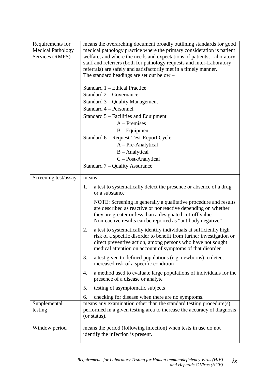| Requirements for         | means the overarching document broadly outlining standards for good                                                                                                                                                                                                          |
|--------------------------|------------------------------------------------------------------------------------------------------------------------------------------------------------------------------------------------------------------------------------------------------------------------------|
| <b>Medical Pathology</b> | medical pathology practice where the primary consideration is patient<br>welfare, and where the needs and expectations of patients, Laboratory                                                                                                                               |
| Services (RMPS)          | staff and referrers (both for pathology requests and inter-Laboratory                                                                                                                                                                                                        |
|                          | referrals) are safely and satisfactorily met in a timely manner.                                                                                                                                                                                                             |
|                          | The standard headings are set out below $-$                                                                                                                                                                                                                                  |
|                          |                                                                                                                                                                                                                                                                              |
|                          | Standard 1 – Ethical Practice                                                                                                                                                                                                                                                |
|                          | Standard 2 – Governance                                                                                                                                                                                                                                                      |
|                          | Standard 3 – Quality Management                                                                                                                                                                                                                                              |
|                          | Standard 4 – Personnel                                                                                                                                                                                                                                                       |
|                          | Standard 5 – Facilities and Equipment                                                                                                                                                                                                                                        |
|                          | $A -$ Premises                                                                                                                                                                                                                                                               |
|                          | $B - Equipment$                                                                                                                                                                                                                                                              |
|                          | Standard 6 - Request-Test-Report Cycle                                                                                                                                                                                                                                       |
|                          | $A - Pre-Analytical$                                                                                                                                                                                                                                                         |
|                          | $B -$ Analytical                                                                                                                                                                                                                                                             |
|                          | $C - Post$ -Analytical                                                                                                                                                                                                                                                       |
|                          | Standard 7 – Quality Assurance                                                                                                                                                                                                                                               |
|                          |                                                                                                                                                                                                                                                                              |
| Screening test/assay     | $means -$                                                                                                                                                                                                                                                                    |
|                          | a test to systematically detect the presence or absence of a drug<br>1.<br>or a substance                                                                                                                                                                                    |
|                          | NOTE: Screening is generally a qualitative procedure and results<br>are described as reactive or nonreactive depending on whether<br>they are greater or less than a designated cut-off value.<br>Nonreactive results can be reported as "antibody negative"                 |
|                          | 2.<br>a test to systematically identify individuals at sufficiently high<br>risk of a specific disorder to benefit from further investigation or<br>direct preventive action, among persons who have not sought<br>medical attention on account of symptoms of that disorder |
|                          | 3.<br>a test given to defined populations (e.g. newborns) to detect<br>increased risk of a specific condition                                                                                                                                                                |
|                          | a method used to evaluate large populations of individuals for the<br>4.<br>presence of a disease or analyte                                                                                                                                                                 |
|                          | testing of asymptomatic subjects<br>5.                                                                                                                                                                                                                                       |
|                          | checking for disease when there are no symptoms.<br>6.                                                                                                                                                                                                                       |
| Supplemental<br>testing  | means any examination other than the standard testing procedure(s)<br>performed in a given testing area to increase the accuracy of diagnosis<br>(or status).                                                                                                                |
| Window period            | means the period (following infection) when tests in use do not<br>identify the infection is present.                                                                                                                                                                        |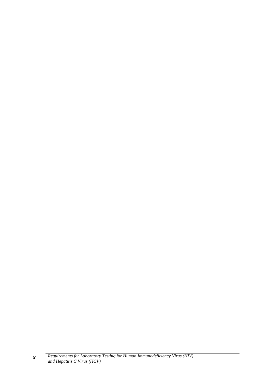# *x Requirements for Laboratory Testing for Human Immunodeficiency Virus (HIV) and Hepatitis C Virus (HCV)*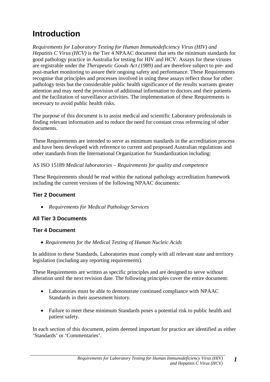# <span id="page-10-0"></span>**Introduction**

*Requirements for Laboratory Testing for Human Immunodeficiency Virus (HIV) and Hepatitis C Virus (HCV)* is the Tier 4 NPAAC document that sets the minimum standards for good pathology practice in Australia for testing for HIV and HCV. Assays for these viruses are registrable under the *Therapeutic Goods Act (1989)* and are therefore subject to pre- and post-market monitoring to assure their ongoing safety and performance. These Requirements recognise that principles and processes involved in using these assays reflect those for other pathology tests but the considerable public health significance of the results warrants greater attention and may need the provision of additional information to doctors and their patients and the facilitation of surveillance activities. The implementation of these Requirements is necessary to avoid public health risks.

The purpose of this document is to assist medical and scientific Laboratory professionals in finding relevant information and to reduce the need for constant cross referencing of other documents.

These Requirements are intended to serve as minimum standards in the accreditation process and have been developed with reference to current and proposed Australian regulations and other standards from the International Organization for Standardization including:

#### AS ISO 15189 *Medical laboratories – Requirements for quality and competence*

These Requirements should be read within the national pathology accreditation framework including the current versions of the following NPAAC documents:

#### **Tier 2 Document**

• *Requirements for Medical Pathology Services*

#### **All Tier 3 Documents**

#### **Tier 4 Document**

• *Requirements for the Medical Testing of Human Nucleic Acids*

In addition to these Standards, Laboratories must comply with all relevant state and territory legislation (including any reporting requirements).

These Requirements are written as specific principles and are designed to serve without alteration until the next revision date. The following principles cover the entire document:

- Laboratories must be able to demonstrate continued compliance with NPAAC Standards in their assessment history.
- Failure to meet these minimum Standards poses a potential risk to public health and patient safety.

In each section of this document, points deemed important for practice are identified as either 'Standards' or 'Commentaries'.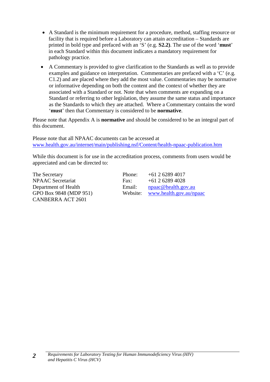- A Standard is the minimum requirement for a procedure, method, staffing resource or facility that is required before a Laboratory can attain accreditation – Standards are printed in bold type and prefaced with an 'S' (e.g. **S2.2)**. The use of the word '**must**' in each Standard within this document indicates a mandatory requirement for pathology practice.
- A Commentary is provided to give clarification to the Standards as well as to provide examples and guidance on interpretation. Commentaries are prefaced with a 'C' (e.g. C1.2) and are placed where they add the most value. Commentaries may be normative or informative depending on both the content and the context of whether they are associated with a Standard or not. Note that when comments are expanding on a Standard or referring to other legislation, they assume the same status and importance as the Standards to which they are attached. Where a Commentary contains the word '**must**' then that Commentary is considered to be **normative**.

Please note that Appendix A is **normative** and should be considered to be an integral part of this document.

Please note that all NPAAC documents can be accessed at [www.health.gov.au/internet/main/publishing.nsf/Content/health-npaac-publication.htm](http://www.health.gov.au/internet/main/publishing.nsf/Content/health-npaac-publication.htm)

While this document is for use in the accreditation process, comments from users would be appreciated and can be directed to:

NPAAC Secretariat Fax: +61 2 6289 4028 CANBERRA ACT 2601

The Secretary Phone: +61 2 6289 4017 Department of Health Email: [npaac@health.gov.au](mailto:npaac@health.gov.au) GPO Box 9848 (MDP 951) Website: [www.health.gov.au/npaac](http://www.health.gov.au/npaac)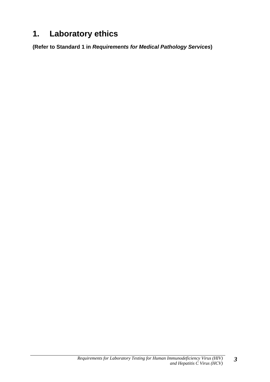### <span id="page-12-0"></span>**1. Laboratory ethics**

**(Refer to Standard 1 in** *Requirements for Medical Pathology Services***)**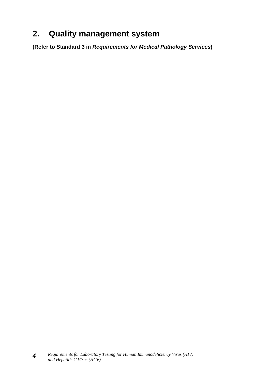# <span id="page-13-0"></span>**2. Quality management system**

**(Refer to Standard 3 in** *Requirements for Medical Pathology Services***)**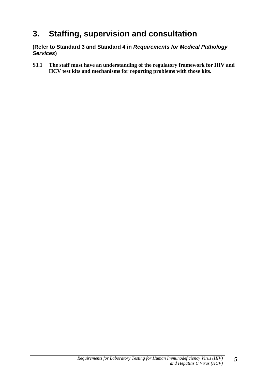### <span id="page-14-0"></span>**3. Staffing, supervision and consultation**

#### **(Refer to Standard 3 and Standard 4 in** *Requirements for Medical Pathology Services***)**

**S3.1 The staff must have an understanding of the regulatory framework for HIV and HCV test kits and mechanisms for reporting problems with those kits.**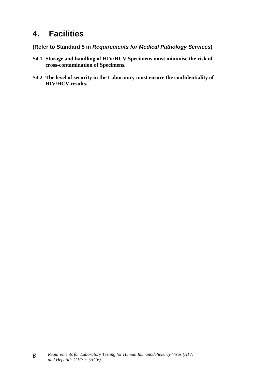### <span id="page-15-0"></span>**4. Facilities**

**(Refer to Standard 5 in** *Requirements for Medical Pathology Services***)**

- **S4.1 Storage and handling of HIV/HCV Specimens must minimise the risk of cross-contamination of Specimens.**
- **S4.2 The level of security in the Laboratory must ensure the confidentiality of HIV/HCV results.**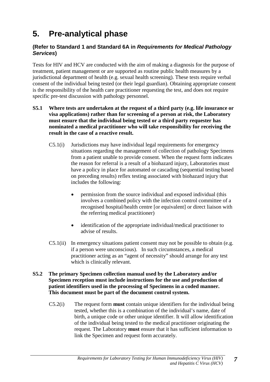# <span id="page-16-0"></span>**5. Pre-analytical phase**

#### **(Refer to Standard 1 and Standard 6A in** *Requirements for Medical Pathology Services***)**

Tests for HIV and HCV are conducted with the aim of making a diagnosis for the purpose of treatment, patient management or are supported as routine public health measures by a jurisdictional department of health (e.g. sexual health screening). These tests require verbal consent of the individual being tested (or their legal guardian). Obtaining appropriate consent is the responsibility of the health care practitioner requesting the test, and does not require specific pre-test discussion with pathology personnel.

#### **S5.1 Where tests are undertaken at the request of a third party (e.g. life insurance or visa applications) rather than for screening of a person at risk, the Laboratory must ensure that the individual being tested or a third party requester has nominated a medical practitioner who will take responsibility for receiving the result in the case of a reactive result.**

- C5.1(i) Jurisdictions may have individual legal requirements for emergency situations regarding the management of collection of pathology Specimens from a patient unable to provide consent. When the request form indicates the reason for referral is a result of a biohazard injury, Laboratories must have a policy in place for automated or cascading (sequential testing based on preceding results) reflex testing associated with biohazard injury that includes the following:
	- permission from the source individual and exposed individual (this involves a combined policy with the infection control committee of a recognised hospital/health centre [or equivalent] or direct liaison with the referring medical practitioner)
	- identification of the appropriate individual/medical practitioner to advise of results.
- $C5.1(i)$  In emergency situations patient consent may not be possible to obtain (e.g. if a person were unconscious). In such circumstances, a medical practitioner acting as an "agent of necessity" should arrange for any test which is clinically relevant.

#### **S5.2 The primary Specimen collection manual used by the Laboratory and/or Specimen reception must include instructions for the use and production of patient identifiers used in the processing of Specimens in a coded manner. This document must be part of the document control system.**

C5.2(i) The request form **must** contain unique identifiers for the individual being tested, whether this is a combination of the individual's name, date of birth, a unique code or other unique identifier. It will allow identification of the individual being tested to the medical practitioner originating the request. The Laboratory **must** ensure that it has sufficient information to link the Specimen and request form accurately.

*7*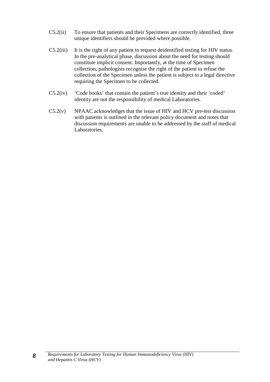- C5.2(ii) To ensure that patients and their Specimens are correctly identified, three unique identifiers should be provided where possible.
- C5.2(iii) It is the right of any patient to request deidentified testing for HIV status. In the pre-analytical phase, discussion about the need for testing should constitute implicit consent. Importantly, at the time of Specimen collection, pathologists recognise the right of the patient to refuse the collection of the Specimen unless the patient is subject to a legal directive requiring the Specimen to be collected.
- C5.2(iv) 'Code books' that contain the patient's true identity and their 'coded' identity are not the responsibility of medical Laboratories.
- $C5.2(v)$  NPAAC acknowledges that the issue of HIV and HCV pre-test discussion with patients is outlined in the relevant policy document and notes that discussion requirements are unable to be addressed by the staff of medical Laboratories.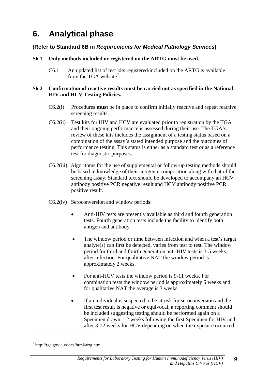### <span id="page-18-0"></span>**6. Analytical phase**

#### **(Refer to Standard 6B in** *Requirements for Medical Pathology Services***)**

#### **S6.1 Only methods included or registered on the ARTG must be used.**

C6.1 An updated list of test kits registered/included on the ARTG is available from the TGA website[\\*](#page-0-0).

#### **S6.2 Confirmation of reactive results must be carried out as specified in the National HIV and HCV Testing Policies.**

- C6.2(i) Procedures **must** be in place to confirm initially reactive and repeat reactive screening results.
- C6.2(ii) Test kits for HIV and HCV are evaluated prior to registration by the TGA and their ongoing performance is assessed during their use. The TGA's review of these kits includes the assignment of a testing status based on a combination of the assay's stated intended purpose and the outcomes of performance testing. This status is either as a standard test or as a reference test for diagnostic purposes.
- C6.2(iii) Algorithms for the use of supplemental or follow-up testing methods should be based in knowledge of their antigenic composition along with that of the screening assay. Standard text should be developed to accompany an HCV antibody positive PCR negative result and HCV antibody positive PCR positive result.
- C6.2(iv) Seroconversion and window periods:
	- Anti-HIV tests are presently available as third and fourth generation tests. Fourth generation tests include the facility to identify both antigen and antibody
	- The window period or time between infection and when a test's target analyte(s) can first be detected, varies from test to test. The window period for third and fourth generation anti-HIV tests is 3-5 weeks after infection. For qualitative NAT the window period is approximately 2 weeks.
	- For anti-HCV tests the window period is 9-11 weeks. For combination tests the window period is approximately 6 weeks and for qualitative NAT the average is 3 weeks.
	- If an individual is suspected to be at risk for seroconversion and the first test result is negative or equivocal, a reporting comment should be included suggesting testing should be performed again on a Specimen drawn 1-2 weeks following the first Specimen for HIV and after 3-12 weeks for HCV depending on when the exposure occurred

<u>.</u>

<sup>\*</sup> http://tga.gov.au/docs/html/artg.htm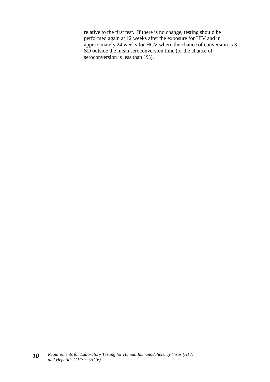relative to the first test. If there is no change, testing should be performed again at 12 weeks after the exposure for HIV and in approximately 24 weeks for HCV where the chance of conversion is 3 SD outside the mean seroconversion time (or the chance of seroconversion is less than 1%).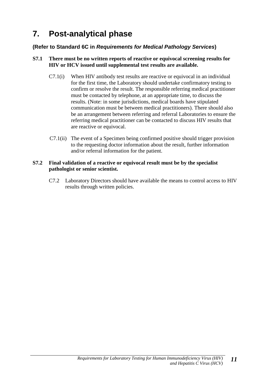## <span id="page-20-0"></span>**7. Post-analytical phase**

#### **(Refer to Standard 6C in** *Requirements for Medical Pathology Services***)**

#### **S7.1 There must be no written reports of reactive or equivocal screening results for HIV or HCV issued until supplemental test results are available.**

- C7.1(i) When HIV antibody test results are reactive or equivocal in an individual for the first time, the Laboratory should undertake confirmatory testing to confirm or resolve the result. The responsible referring medical practitioner must be contacted by telephone, at an appropriate time, to discuss the results. (Note: in some jurisdictions, medical boards have stipulated communication must be between medical practitioners). There should also be an arrangement between referring and referral Laboratories to ensure the referring medical practitioner can be contacted to discuss HIV results that are reactive or equivocal.
- $C7.1(i)$  The event of a Specimen being confirmed positive should trigger provision to the requesting doctor information about the result, further information and/or referral information for the patient.

#### **S7.2 Final validation of a reactive or equivocal result must be by the specialist pathologist or senior scientist.**

C7.2 Laboratory Directors should have available the means to control access to HIV results through written policies.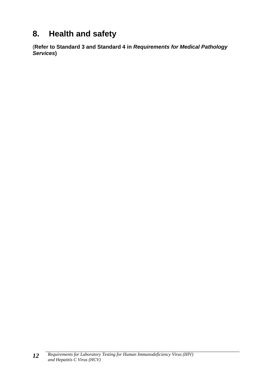### <span id="page-21-0"></span>**8. Health and safety**

(**Refer to Standard 3 and Standard 4 in** *Requirements for Medical Pathology Services***)**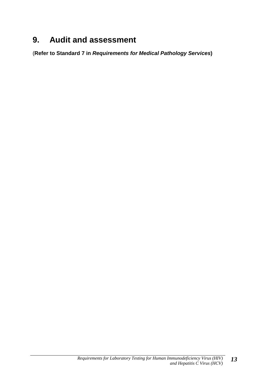### <span id="page-22-0"></span>**9. Audit and assessment**

(**Refer to Standard 7 in** *Requirements for Medical Pathology Services***)**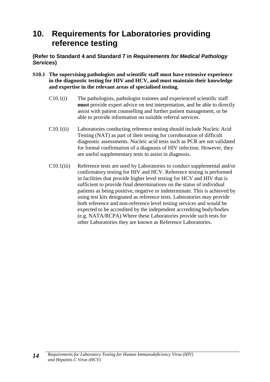### <span id="page-23-0"></span>**10. Requirements for Laboratories providing reference testing**

#### **(Refer to Standard 4 and Standard 7 in** *Requirements for Medical Pathology Services***)**

- **S10.1 The supervising pathologists and scientific staff must have extensive experience in the diagnostic testing for HIV and HCV, and must maintain their knowledge and expertise in the relevant areas of specialised testing.**
	- C10.1(i) The pathologists, pathologist trainees and experienced scientific staff **must** provide expert advice on test interpretation, and be able to directly assist with patient counselling and further patient management, or be able to provide information on suitable referral services.
	- C10.1(ii) Laboratories conducting reference testing should include Nucleic Acid Testing (NAT) as part of their testing for corroboration of difficult diagnostic assessments. Nucleic acid tests such as PCR are not validated for formal confirmation of a diagnosis of HIV infection. However, they are useful supplementary tests to assist in diagnosis.
	- C10.1(iii) Reference tests are used by Laboratories to conduct supplemental and/or confirmatory testing for HIV and HCV. Reference testing is performed in facilities that provide higher level testing for HCV and HIV that is sufficient to provide final determinations on the status of individual patients as being positive, negative or indeterminate. This is achieved by using test kits designated as reference tests. Laboratories may provide both reference and non-reference level testing services and would be expected to be accredited by the independent accrediting body/bodies (e.g. NATA/RCPA).Where these Laboratories provide such tests for other Laboratories they are known as Reference Laboratories.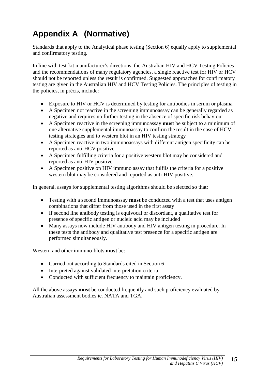# <span id="page-24-0"></span>**Appendix A (Normative)**

Standards that apply to the Analytical phase testing (Section 6) equally apply to supplemental and confirmatory testing.

In line with test-kit manufacturer's directions, the Australian HIV and HCV Testing Policies and the recommendations of many regulatory agencies, a single reactive test for HIV or HCV should not be reported unless the result is confirmed. Suggested approaches for confirmatory testing are given in the Australian HIV and HCV Testing Policies. The principles of testing in the policies, in précis, include:

- Exposure to HIV or HCV is determined by testing for antibodies in serum or plasma
- A Specimen not reactive in the screening immunoassay can be generally regarded as negative and requires no further testing in the absence of specific risk behaviour
- A Specimen reactive in the screening immunoassay **must** be subject to a minimum of one alternative supplemental immunoassay to confirm the result in the case of HCV testing strategies and to western blot in an HIV testing strategy
- A Specimen reactive in two immunoassays with different antigen specificity can be reported as anti-HCV positive
- A Specimen fulfilling criteria for a positive western blot may be considered and reported as anti-HIV positive
- A Specimen positive on HIV immuno assay that fulfils the criteria for a positive western blot may be considered and reported as anti-HIV positive.

In general, assays for supplemental testing algorithms should be selected so that:

- Testing with a second immunoassay **must** be conducted with a test that uses antigen combinations that differ from those used in the first assay
- If second line antibody testing is equivocal or discordant, a qualitative test for presence of specific antigen or nucleic acid may be included
- Many assays now include HIV antibody and HIV antigen testing in procedure. In these tests the antibody and qualitative test presence for a specific antigen are performed simultaneously.

Western and other immuno-blots **must** be:

- Carried out according to Standards cited in Section 6
- Interpreted against validated interpretation criteria
- Conducted with sufficient frequency to maintain proficiency.

All the above assays **must** be conducted frequently and such proficiency evaluated by Australian assessment bodies ie. NATA and TGA.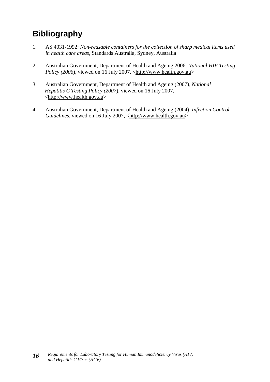# <span id="page-25-0"></span>**Bibliography**

- 1. AS 4031-1992: *Non-reusable containers for the collection of sharp medical items used in health care areas,* Standards Australia, Sydney, Australia
- 2. Australian Government, Department of Health and Ageing 2006, *National HIV Testing Policy (2006)*, viewed on 16 July 2007, [<http://www.health.gov.au>](http://www.health.gov.au/)
- 3. Australian Government, Department of Health and Ageing (2007), *National Hepatitis C Testing Policy (2007*), viewed on 16 July 2007, [<http://www.health.gov.au>](http://www.health.gov.au/)
- 4. Australian Government, Department of Health and Ageing (2004), *Infection Control Guidelines*, viewed on 16 July 2007, [<http://www.health.gov.au>](http://www.health.gov.au/)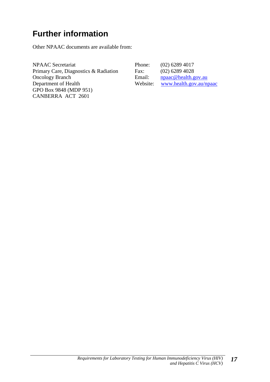# <span id="page-26-0"></span>**Further information**

Other NPAAC documents are available from:

| <b>NPAAC</b> Secretariat              |
|---------------------------------------|
| Primary Care, Diagnostics & Radiation |
| <b>Oncology Branch</b>                |
| Department of Health                  |
| GPO Box 9848 (MDP 951)                |
| <b>CANBERRA ACT 2601</b>              |

| $(02)$ 6289 4017        |
|-------------------------|
| $(02)$ 6289 4028        |
| npaac@health.gov.au     |
| www.health.gov.au/npaac |
|                         |